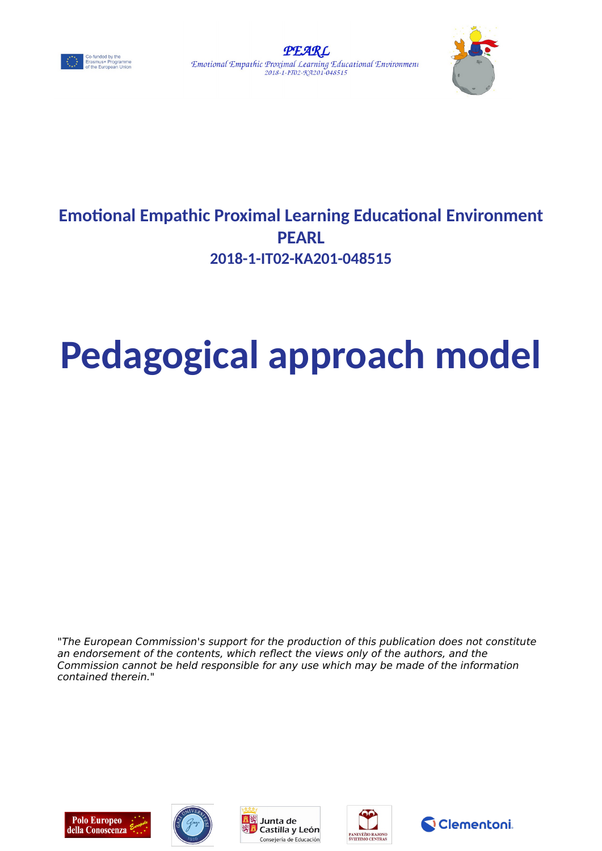





# **Emotional Empathic Proximal Learning Educational Environment PEARL 2018-1-IT02-KA201-048515**

# **Pedagogical approach model**

"The European Commission's support for the production of this publication does not constitute an endorsement of the contents, which reflect the views only of the authors, and the Commission cannot be held responsible for any use which may be made of the information contained therein."









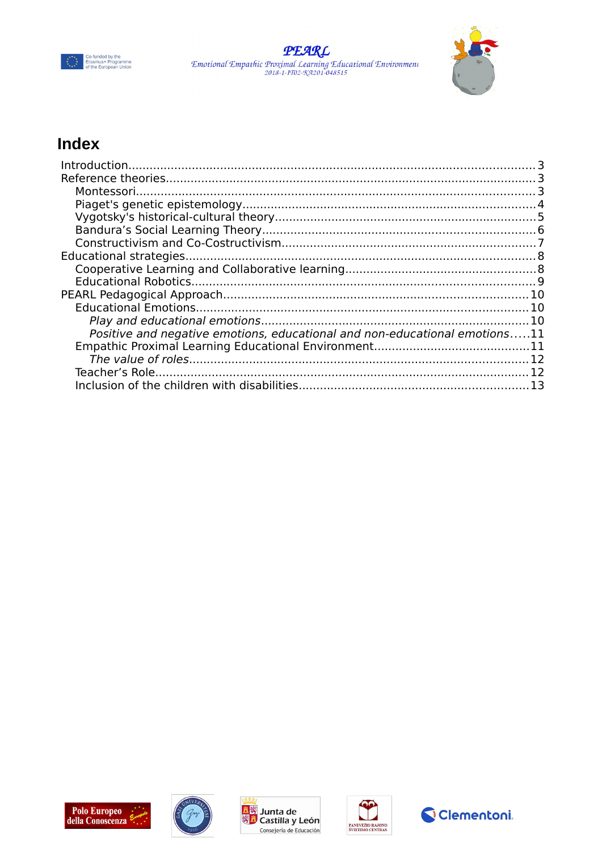





# Index

| Positive and negative emotions, educational and non-educational emotions11 |  |
|----------------------------------------------------------------------------|--|
|                                                                            |  |
|                                                                            |  |
|                                                                            |  |
|                                                                            |  |







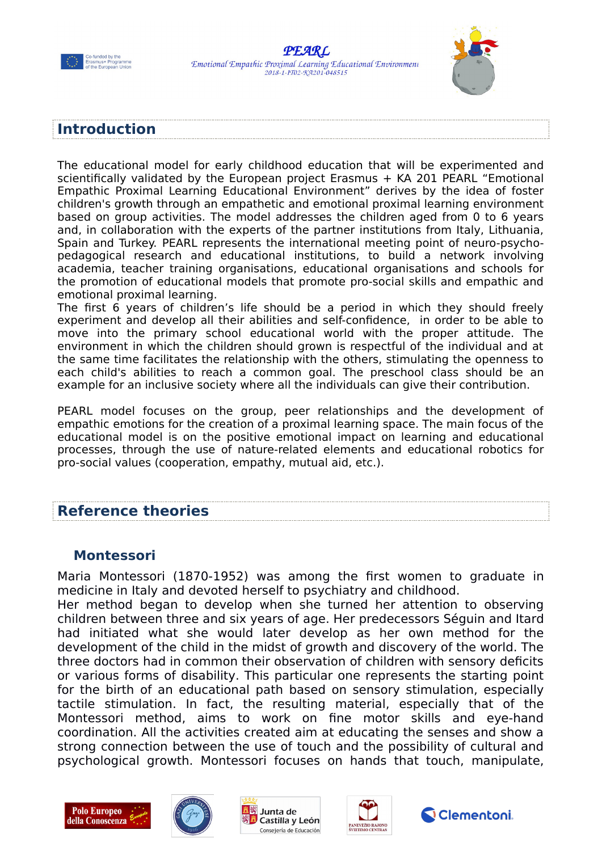



#### <span id="page-2-0"></span>**Introduction**

The educational model for early childhood education that will be experimented and scientifically validated by the European project Erasmus + KA 201 PEARL "Emotional Empathic Proximal Learning Educational Environment" derives by the idea of foster children's growth through an empathetic and emotional proximal learning environment based on group activities. The model addresses the children aged from 0 to 6 years and, in collaboration with the experts of the partner institutions from Italy, Lithuania, Spain and Turkey. PEARL represents the international meeting point of neuro-psychopedagogical research and educational institutions, to build a network involving academia, teacher training organisations, educational organisations and schools for the promotion of educational models that promote pro-social skills and empathic and emotional proximal learning.

The first 6 years of children's life should be a period in which they should freely experiment and develop all their abilities and self-confidence, in order to be able to move into the primary school educational world with the proper attitude. The environment in which the children should grown is respectful of the individual and at the same time facilitates the relationship with the others, stimulating the openness to each child's abilities to reach a common goal. The preschool class should be an example for an inclusive society where all the individuals can give their contribution.

PEARL model focuses on the group, peer relationships and the development of empathic emotions for the creation of a proximal learning space. The main focus of the educational model is on the positive emotional impact on learning and educational processes, through the use of nature-related elements and educational robotics for pro-social values (cooperation, empathy, mutual aid, etc.).

#### <span id="page-2-2"></span>**Reference theories**

#### <span id="page-2-1"></span>**Montessori**

Maria Montessori (1870-1952) was among the first women to graduate in medicine in Italy and devoted herself to psychiatry and childhood.

Her method began to develop when she turned her attention to observing children between three and six years of age. Her predecessors Séguin and Itard had initiated what she would later develop as her own method for the development of the child in the midst of growth and discovery of the world. The three doctors had in common their observation of children with sensory deficits or various forms of disability. This particular one represents the starting point for the birth of an educational path based on sensory stimulation, especially tactile stimulation. In fact, the resulting material, especially that of the Montessori method, aims to work on fine motor skills and eye-hand coordination. All the activities created aim at educating the senses and show a strong connection between the use of touch and the possibility of cultural and psychological growth. Montessori focuses on hands that touch, manipulate,









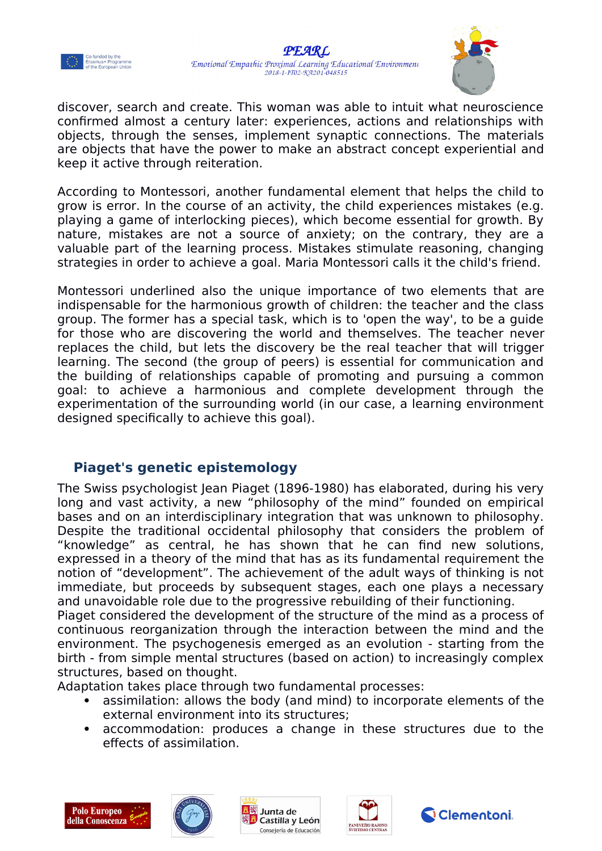



discover, search and create. This woman was able to intuit what neuroscience confirmed almost a century later: experiences, actions and relationships with objects, through the senses, implement synaptic connections. The materials are objects that have the power to make an abstract concept experiential and keep it active through reiteration.

According to Montessori, another fundamental element that helps the child to grow is error. In the course of an activity, the child experiences mistakes (e.g. playing a game of interlocking pieces), which become essential for growth. By nature, mistakes are not a source of anxiety; on the contrary, they are a valuable part of the learning process. Mistakes stimulate reasoning, changing strategies in order to achieve a goal. Maria Montessori calls it the child's friend.

Montessori underlined also the unique importance of two elements that are indispensable for the harmonious growth of children: the teacher and the class group. The former has a special task, which is to 'open the way', to be a guide for those who are discovering the world and themselves. The teacher never replaces the child, but lets the discovery be the real teacher that will trigger learning. The second (the group of peers) is essential for communication and the building of relationships capable of promoting and pursuing a common goal: to achieve a harmonious and complete development through the experimentation of the surrounding world (in our case, a learning environment designed specifically to achieve this goal).

#### <span id="page-3-0"></span>**Piaget's genetic epistemology**

The Swiss psychologist Jean Piaget (1896-1980) has elaborated, during his very long and vast activity, a new "philosophy of the mind" founded on empirical bases and on an interdisciplinary integration that was unknown to philosophy. Despite the traditional occidental philosophy that considers the problem of "knowledge" as central, he has shown that he can find new solutions, expressed in a theory of the mind that has as its fundamental requirement the notion of "development". The achievement of the adult ways of thinking is not immediate, but proceeds by subsequent stages, each one plays a necessary and unavoidable role due to the progressive rebuilding of their functioning.

Piaget considered the development of the structure of the mind as a process of continuous reorganization through the interaction between the mind and the environment. The psychogenesis emerged as an evolution - starting from the birth - from simple mental structures (based on action) to increasingly complex structures, based on thought.

Adaptation takes place through two fundamental processes:

- assimilation: allows the body (and mind) to incorporate elements of the external environment into its structures;
- accommodation: produces a change in these structures due to the effects of assimilation.









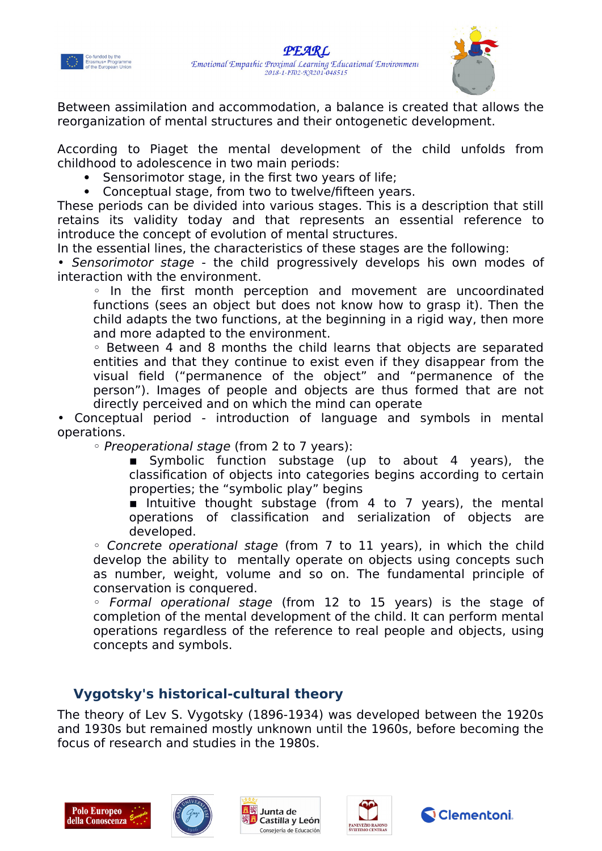



Between assimilation and accommodation, a balance is created that allows the reorganization of mental structures and their ontogenetic development.

According to Piaget the mental development of the child unfolds from childhood to adolescence in two main periods:

- Sensorimotor stage, in the first two years of life;
- Conceptual stage, from two to twelve/fifteen years.

These periods can be divided into various stages. This is a description that still retains its validity today and that represents an essential reference to introduce the concept of evolution of mental structures.

In the essential lines, the characteristics of these stages are the following:

• Sensorimotor stage - the child progressively develops his own modes of interaction with the environment.

◦ In the first month perception and movement are uncoordinated functions (sees an object but does not know how to grasp it). Then the child adapts the two functions, at the beginning in a rigid way, then more and more adapted to the environment.

◦ Between 4 and 8 months the child learns that objects are separated entities and that they continue to exist even if they disappear from the visual field ("permanence of the object" and "permanence of the person"). Images of people and objects are thus formed that are not directly perceived and on which the mind can operate

• Conceptual period - introduction of language and symbols in mental operations.

◦ Preoperational stage (from 2 to 7 years):

**E** Symbolic function substage (up to about 4 years), the classification of objects into categories begins according to certain properties; the "symbolic play" begins

 $\blacksquare$  Intuitive thought substage (from 4 to 7 years), the mental operations of classification and serialization of objects are developed.

◦ Concrete operational stage (from 7 to 11 years), in which the child develop the ability to mentally operate on objects using concepts such as number, weight, volume and so on. The fundamental principle of conservation is conquered.

◦ Formal operational stage (from 12 to 15 years) is the stage of completion of the mental development of the child. It can perform mental operations regardless of the reference to real people and objects, using concepts and symbols.

#### <span id="page-4-0"></span>**Vygotsky's historical-cultural theory**

The theory of Lev S. Vygotsky (1896-1934) was developed between the 1920s and 1930s but remained mostly unknown until the 1960s, before becoming the focus of research and studies in the 1980s.









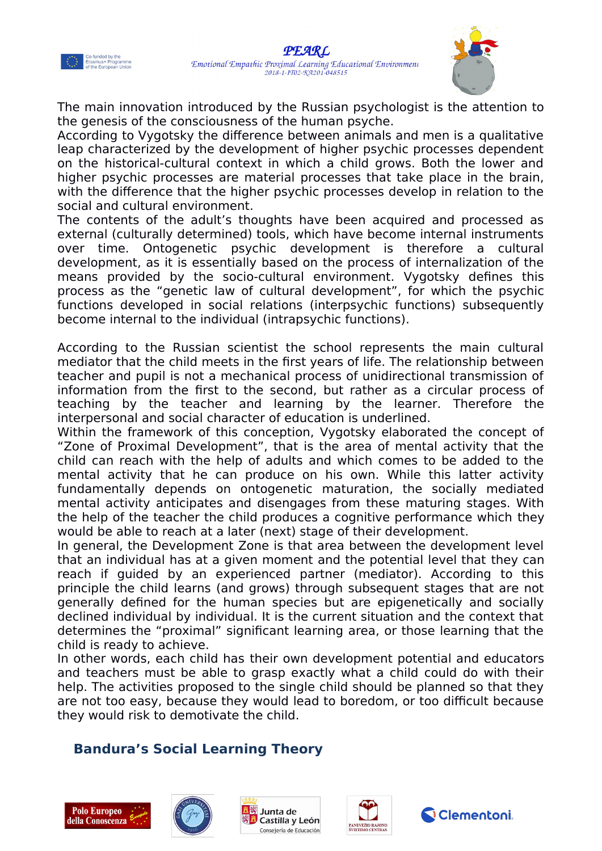



The main innovation introduced by the Russian psychologist is the attention to the genesis of the consciousness of the human psyche.

According to Vygotsky the difference between animals and men is a qualitative leap characterized by the development of higher psychic processes dependent on the historical-cultural context in which a child grows. Both the lower and higher psychic processes are material processes that take place in the brain, with the difference that the higher psychic processes develop in relation to the social and cultural environment.

The contents of the adult's thoughts have been acquired and processed as external (culturally determined) tools, which have become internal instruments over time. Ontogenetic psychic development is therefore a cultural development, as it is essentially based on the process of internalization of the means provided by the socio-cultural environment. Vygotsky defines this process as the "genetic law of cultural development", for which the psychic functions developed in social relations (interpsychic functions) subsequently become internal to the individual (intrapsychic functions).

According to the Russian scientist the school represents the main cultural mediator that the child meets in the first years of life. The relationship between teacher and pupil is not a mechanical process of unidirectional transmission of information from the first to the second, but rather as a circular process of teaching by the teacher and learning by the learner. Therefore the interpersonal and social character of education is underlined.

Within the framework of this conception, Vygotsky elaborated the concept of "Zone of Proximal Development", that is the area of mental activity that the child can reach with the help of adults and which comes to be added to the mental activity that he can produce on his own. While this latter activity fundamentally depends on ontogenetic maturation, the socially mediated mental activity anticipates and disengages from these maturing stages. With the help of the teacher the child produces a cognitive performance which they would be able to reach at a later (next) stage of their development.

In general, the Development Zone is that area between the development level that an individual has at a given moment and the potential level that they can reach if guided by an experienced partner (mediator). According to this principle the child learns (and grows) through subsequent stages that are not generally defined for the human species but are epigenetically and socially declined individual by individual. It is the current situation and the context that determines the "proximal" significant learning area, or those learning that the child is ready to achieve.

In other words, each child has their own development potential and educators and teachers must be able to grasp exactly what a child could do with their help. The activities proposed to the single child should be planned so that they are not too easy, because they would lead to boredom, or too difficult because they would risk to demotivate the child.

## <span id="page-5-0"></span>**Bandura's Social Learning Theory**









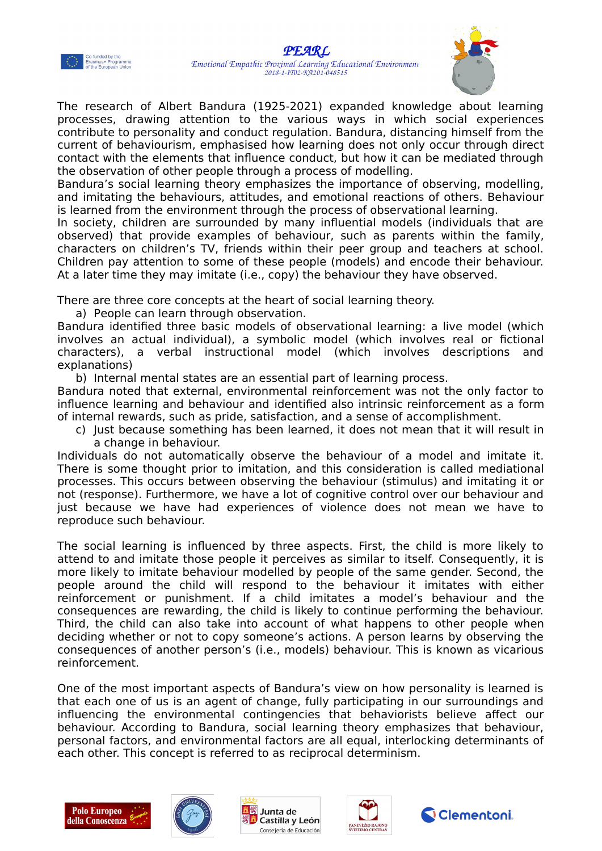



The research of Albert Bandura (1925-2021) expanded knowledge about learning processes, drawing attention to the various ways in which social experiences contribute to personality and conduct regulation. Bandura, distancing himself from the current of behaviourism, emphasised how learning does not only occur through direct contact with the elements that influence conduct, but how it can be mediated through the observation of other people through a process of modelling.

Bandura's social learning theory emphasizes the importance of observing, modelling, and imitating the behaviours, attitudes, and emotional reactions of others. Behaviour is learned from the environment through the process of observational learning.

In society, children are surrounded by many influential models (individuals that are observed) that provide examples of behaviour, such as parents within the family, characters on children's TV, friends within their peer group and teachers at school. Children pay attention to some of these people (models) and encode their behaviour. At a later time they may imitate (i.e., copy) the behaviour they have observed.

There are three core concepts at the heart of social learning theory.

a) People can learn through observation.

Bandura identified three basic models of observational learning: a live model (which involves an actual individual), a symbolic model (which involves real or fictional characters), a verbal instructional model (which involves descriptions and explanations)

b) Internal mental states are an essential part of learning process.

Bandura noted that external, environmental reinforcement was not the only factor to influence learning and behaviour and identified also intrinsic reinforcement as a form of internal rewards, such as pride, satisfaction, and a sense of accomplishment.

c) Just because something has been learned, it does not mean that it will result in a change in behaviour.

Individuals do not automatically observe the behaviour of a model and imitate it. There is some thought prior to imitation, and this consideration is called mediational processes. This occurs between observing the behaviour (stimulus) and imitating it or not (response). Furthermore, we have a lot of cognitive control over our behaviour and just because we have had experiences of violence does not mean we have to reproduce such behaviour.

The social learning is influenced by three aspects. First, the child is more likely to attend to and imitate those people it perceives as similar to itself. Consequently, it is more likely to imitate behaviour modelled by people of the same gender. Second, the people around the child will respond to the behaviour it imitates with either reinforcement or punishment. If a child imitates a model's behaviour and the consequences are rewarding, the child is likely to continue performing the behaviour. Third, the child can also take into account of what happens to other people when deciding whether or not to copy someone's actions. A person learns by observing the consequences of another person's (i.e., models) behaviour. This is known as vicarious reinforcement.

One of the most important aspects of Bandura's view on how personality is learned is that each one of us is an agent of change, fully participating in our surroundings and influencing the environmental contingencies that behaviorists believe affect our behaviour. According to Bandura, social learning theory emphasizes that behaviour, personal factors, and environmental factors are all equal, interlocking determinants of each other. This concept is referred to as reciprocal determinism.









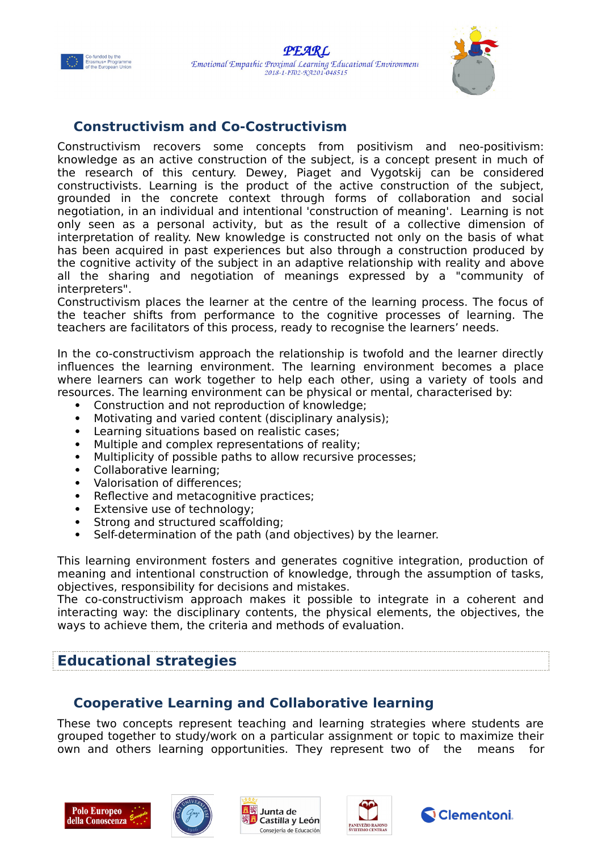



#### <span id="page-7-2"></span>**Constructivism and Co-Costructivism**

Constructivism recovers some concepts from positivism and neo-positivism: knowledge as an active construction of the subject, is a concept present in much of the research of this century. Dewey, Piaget and Vygotskij can be considered constructivists. Learning is the product of the active construction of the subject, grounded in the concrete context through forms of collaboration and social negotiation, in an individual and intentional 'construction of meaning'. Learning is not only seen as a personal activity, but as the result of a collective dimension of interpretation of reality. New knowledge is constructed not only on the basis of what has been acquired in past experiences but also through a construction produced by the cognitive activity of the subject in an adaptive relationship with reality and above all the sharing and negotiation of meanings expressed by a "community of interpreters".

Constructivism places the learner at the centre of the learning process. The focus of the teacher shifts from performance to the cognitive processes of learning. The teachers are facilitators of this process, ready to recognise the learners' needs.

In the co-constructivism approach the relationship is twofold and the learner directly influences the learning environment. The learning environment becomes a place where learners can work together to help each other, using a variety of tools and resources. The learning environment can be physical or mental, characterised by:

- Construction and not reproduction of knowledge;
- Motivating and varied content (disciplinary analysis);
- Learning situations based on realistic cases;
- Multiple and complex representations of reality;
- Multiplicity of possible paths to allow recursive processes;
- Collaborative learning;
- Valorisation of differences;
- Reflective and metacognitive practices;
- Extensive use of technology;
- Strong and structured scaffolding;
- Self-determination of the path (and objectives) by the learner.

This learning environment fosters and generates cognitive integration, production of meaning and intentional construction of knowledge, through the assumption of tasks, objectives, responsibility for decisions and mistakes.

The co-constructivism approach makes it possible to integrate in a coherent and interacting way: the disciplinary contents, the physical elements, the objectives, the ways to achieve them, the criteria and methods of evaluation.

#### <span id="page-7-1"></span>**Educational strategies**

#### <span id="page-7-0"></span>**Cooperative Learning and Collaborative learning**

These two concepts represent teaching and learning strategies where students are grouped together to study/work on a particular assignment or topic to maximize their own and others learning opportunities. They represent two of the means for









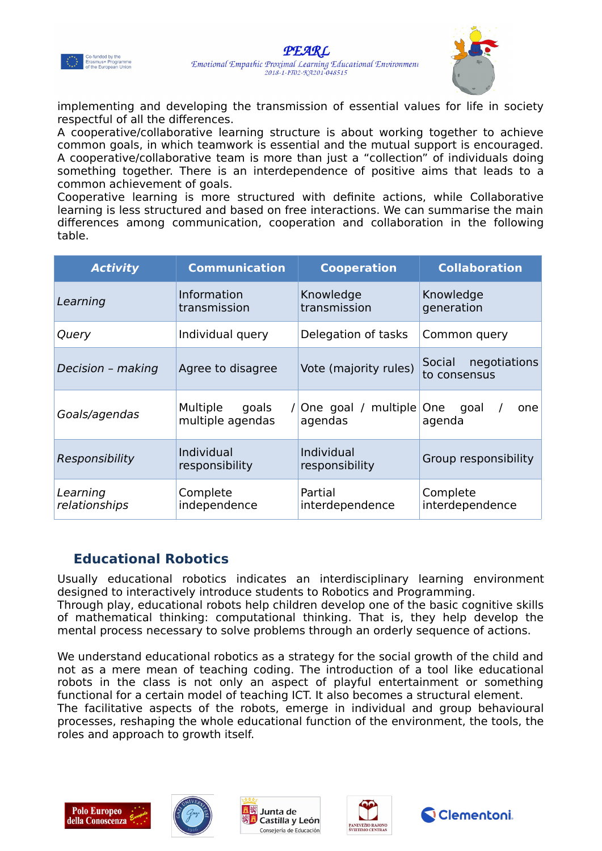



implementing and developing the transmission of essential values for life in society respectful of all the differences.

A cooperative/collaborative learning structure is about working together to achieve common goals, in which teamwork is essential and the mutual support is encouraged. A cooperative/collaborative team is more than just a "collection" of individuals doing something together. There is an interdependence of positive aims that leads to a common achievement of goals.

Cooperative learning is more structured with definite actions, while Collaborative learning is less structured and based on free interactions. We can summarise the main differences among communication, cooperation and collaboration in the following table.

| <b>Activity</b>           | <b>Communication</b>                  | <b>Cooperation</b>               | <b>Collaboration</b>                            |
|---------------------------|---------------------------------------|----------------------------------|-------------------------------------------------|
| Learning                  | Information<br>transmission           | Knowledge<br>transmission        | Knowledge<br>generation                         |
| Query                     | Individual query                      | Delegation of tasks              | Common query                                    |
| Decision - making         | Agree to disagree                     | Vote (majority rules)            | negotiations<br>Social<br>to consensus          |
| Goals/agendas             | Multiple<br>goals<br>multiple agendas | / One goal / multiple<br>agendas | goal<br><b>One</b><br>one<br>$\prime$<br>agenda |
| Responsibility            | Individual<br>responsibility          | Individual<br>responsibility     | Group responsibility                            |
| Learning<br>relationships | Complete<br>independence              | Partial<br>interdependence       | Complete<br>interdependence                     |

## <span id="page-8-0"></span>**Educational Robotics**

Usually educational robotics indicates an interdisciplinary learning environment designed to interactively introduce students to Robotics and Programming. Through play, educational robots help children develop one of the basic cognitive skills of mathematical thinking: computational thinking. That is, they help develop the mental process necessary to solve problems through an orderly sequence of actions.

We understand educational robotics as a strategy for the social growth of the child and not as a mere mean of teaching coding. The introduction of a tool like educational robots in the class is not only an aspect of playful entertainment or something functional for a certain model of teaching ICT. It also becomes a structural element. The facilitative aspects of the robots, emerge in individual and group behavioural processes, reshaping the whole educational function of the environment, the tools, the roles and approach to growth itself.









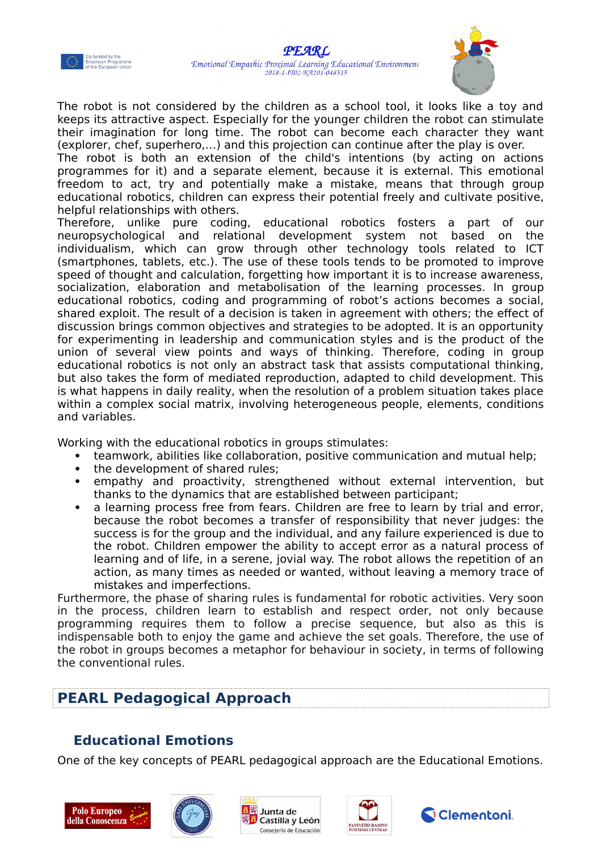



The robot is not considered by the children as a school tool, it looks like a toy and keeps its attractive aspect. Especially for the younger children the robot can stimulate their imagination for long time. The robot can become each character they want (explorer, chef, superhero,…) and this projection can continue after the play is over.

The robot is both an extension of the child's intentions (by acting on actions programmes for it) and a separate element, because it is external. This emotional freedom to act, try and potentially make a mistake, means that through group educational robotics, children can express their potential freely and cultivate positive, helpful relationships with others.

Therefore, unlike pure coding, educational robotics fosters a part of our neuropsychological and relational development system not based on the individualism, which can grow through other technology tools related to ICT (smartphones, tablets, etc.). The use of these tools tends to be promoted to improve speed of thought and calculation, forgetting how important it is to increase awareness, socialization, elaboration and metabolisation of the learning processes. In group educational robotics, coding and programming of robot's actions becomes a social, shared exploit. The result of a decision is taken in agreement with others; the effect of discussion brings common objectives and strategies to be adopted. It is an opportunity for experimenting in leadership and communication styles and is the product of the union of several view points and ways of thinking. Therefore, coding in group educational robotics is not only an abstract task that assists computational thinking, but also takes the form of mediated reproduction, adapted to child development. This is what happens in daily reality, when the resolution of a problem situation takes place within a complex social matrix, involving heterogeneous people, elements, conditions and variables.

Working with the educational robotics in groups stimulates:

- teamwork, abilities like collaboration, positive communication and mutual help;
- the development of shared rules;
- empathy and proactivity, strengthened without external intervention, but thanks to the dynamics that are established between participant;
- a learning process free from fears. Children are free to learn by trial and error, because the robot becomes a transfer of responsibility that never judges: the success is for the group and the individual, and any failure experienced is due to the robot. Children empower the ability to accept error as a natural process of learning and of life, in a serene, jovial way. The robot allows the repetition of an action, as many times as needed or wanted, without leaving a memory trace of mistakes and imperfections.

Furthermore, the phase of sharing rules is fundamental for robotic activities. Very soon in the process, children learn to establish and respect order, not only because programming requires them to follow a precise sequence, but also as this is indispensable both to enjoy the game and achieve the set goals. Therefore, the use of the robot in groups becomes a metaphor for behaviour in society, in terms of following the conventional rules.

## <span id="page-9-1"></span>**PEARL Pedagogical Approach**

## <span id="page-9-0"></span>**Educational Emotions**

One of the key concepts of PEARL pedagogical approach are the Educational Emotions.









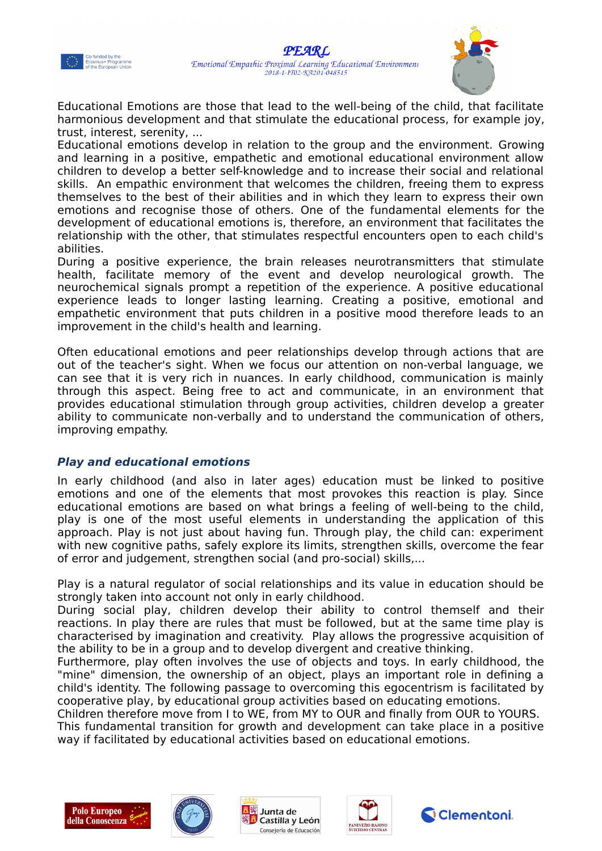



Educational Emotions are those that lead to the well-being of the child, that facilitate harmonious development and that stimulate the educational process, for example joy, trust, interest, serenity, ...

Educational emotions develop in relation to the group and the environment. Growing and learning in a positive, empathetic and emotional educational environment allow children to develop a better self-knowledge and to increase their social and relational skills. An empathic environment that welcomes the children, freeing them to express themselves to the best of their abilities and in which they learn to express their own emotions and recognise those of others. One of the fundamental elements for the development of educational emotions is, therefore, an environment that facilitates the relationship with the other, that stimulates respectful encounters open to each child's abilities.

During a positive experience, the brain releases neurotransmitters that stimulate health, facilitate memory of the event and develop neurological growth. The neurochemical signals prompt a repetition of the experience. A positive educational experience leads to longer lasting learning. Creating a positive, emotional and empathetic environment that puts children in a positive mood therefore leads to an improvement in the child's health and learning.

Often educational emotions and peer relationships develop through actions that are out of the teacher's sight. When we focus our attention on non-verbal language, we can see that it is very rich in nuances. In early childhood, communication is mainly through this aspect. Being free to act and communicate, in an environment that provides educational stimulation through group activities, children develop a greater ability to communicate non-verbally and to understand the communication of others, improving empathy.

#### <span id="page-10-0"></span>**Play and educational emotions**

In early childhood (and also in later ages) education must be linked to positive emotions and one of the elements that most provokes this reaction is play. Since educational emotions are based on what brings a feeling of well-being to the child, play is one of the most useful elements in understanding the application of this approach. Play is not just about having fun. Through play, the child can: experiment with new cognitive paths, safely explore its limits, strengthen skills, overcome the fear of error and judgement, strengthen social (and pro-social) skills,...

Play is a natural regulator of social relationships and its value in education should be strongly taken into account not only in early childhood.

During social play, children develop their ability to control themself and their reactions. In play there are rules that must be followed, but at the same time play is characterised by imagination and creativity. Play allows the progressive acquisition of the ability to be in a group and to develop divergent and creative thinking.

Furthermore, play often involves the use of objects and toys. In early childhood, the "mine" dimension, the ownership of an object, plays an important role in defining a child's identity. The following passage to overcoming this egocentrism is facilitated by cooperative play, by educational group activities based on educating emotions.

Children therefore move from I to WE, from MY to OUR and finally from OUR to YOURS.

This fundamental transition for growth and development can take place in a positive way if facilitated by educational activities based on educational emotions.









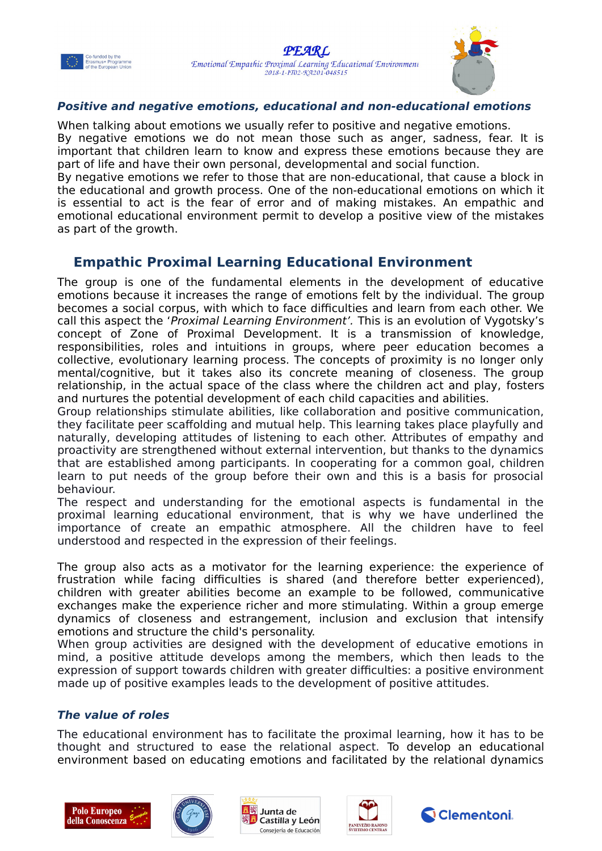



#### <span id="page-11-2"></span>**Positive and negative emotions, educational and non-educational emotions**

When talking about emotions we usually refer to positive and negative emotions. By negative emotions we do not mean those such as anger, sadness, fear. It is important that children learn to know and express these emotions because they are part of life and have their own personal, developmental and social function.

By negative emotions we refer to those that are non-educational, that cause a block in the educational and growth process. One of the non-educational emotions on which it is essential to act is the fear of error and of making mistakes. An empathic and emotional educational environment permit to develop a positive view of the mistakes as part of the growth.

#### <span id="page-11-1"></span>**Empathic Proximal Learning Educational Environment**

The group is one of the fundamental elements in the development of educative emotions because it increases the range of emotions felt by the individual. The group becomes a social corpus, with which to face difficulties and learn from each other. We call this aspect the 'Proximal Learning Environment'. This is an evolution of Vygotsky's concept of Zone of Proximal Development. It is a transmission of knowledge, responsibilities, roles and intuitions in groups, where peer education becomes a collective, evolutionary learning process. The concepts of proximity is no longer only mental/cognitive, but it takes also its concrete meaning of closeness. The group relationship, in the actual space of the class where the children act and play, fosters and nurtures the potential development of each child capacities and abilities.

Group relationships stimulate abilities, like collaboration and positive communication, they facilitate peer scaffolding and mutual help. This learning takes place playfully and naturally, developing attitudes of listening to each other. Attributes of empathy and proactivity are strengthened without external intervention, but thanks to the dynamics that are established among participants. In cooperating for a common goal, children learn to put needs of the group before their own and this is a basis for prosocial behaviour.

The respect and understanding for the emotional aspects is fundamental in the proximal learning educational environment, that is why we have underlined the importance of create an empathic atmosphere. All the children have to feel understood and respected in the expression of their feelings.

The group also acts as a motivator for the learning experience: the experience of frustration while facing difficulties is shared (and therefore better experienced), children with greater abilities become an example to be followed, communicative exchanges make the experience richer and more stimulating. Within a group emerge dynamics of closeness and estrangement, inclusion and exclusion that intensify emotions and structure the child's personality.

When group activities are designed with the development of educative emotions in mind, a positive attitude develops among the members, which then leads to the expression of support towards children with greater difficulties: a positive environment made up of positive examples leads to the development of positive attitudes.

#### <span id="page-11-0"></span>**The value of roles**

The educational environment has to facilitate the proximal learning, how it has to be thought and structured to ease the relational aspect. To develop an educational environment based on educating emotions and facilitated by the relational dynamics









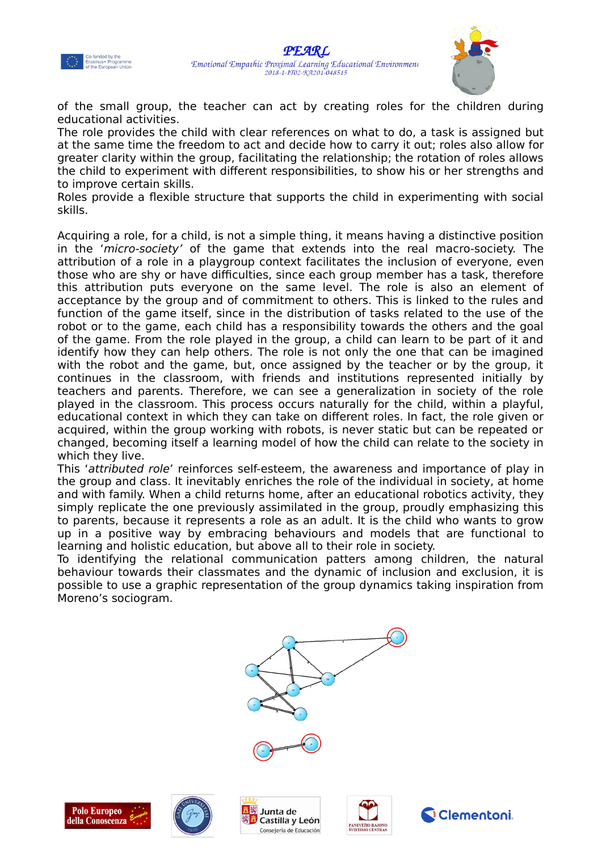



of the small group, the teacher can act by creating roles for the children during educational activities.

The role provides the child with clear references on what to do, a task is assigned but at the same time the freedom to act and decide how to carry it out; roles also allow for greater clarity within the group, facilitating the relationship; the rotation of roles allows the child to experiment with different responsibilities, to show his or her strengths and to improve certain skills.

Roles provide a flexible structure that supports the child in experimenting with social skills.

Acquiring a role, for a child, is not a simple thing, it means having a distinctive position in the 'micro-society' of the game that extends into the real macro-society. The attribution of a role in a playgroup context facilitates the inclusion of everyone, even those who are shy or have difficulties, since each group member has a task, therefore this attribution puts everyone on the same level. The role is also an element of acceptance by the group and of commitment to others. This is linked to the rules and function of the game itself, since in the distribution of tasks related to the use of the robot or to the game, each child has a responsibility towards the others and the goal of the game. From the role played in the group, a child can learn to be part of it and identify how they can help others. The role is not only the one that can be imagined with the robot and the game, but, once assigned by the teacher or by the group, it continues in the classroom, with friends and institutions represented initially by teachers and parents. Therefore, we can see a generalization in society of the role played in the classroom. This process occurs naturally for the child, within a playful, educational context in which they can take on different roles. In fact, the role given or acquired, within the group working with robots, is never static but can be repeated or changed, becoming itself a learning model of how the child can relate to the society in which they live.

This 'attributed role' reinforces self-esteem, the awareness and importance of play in the group and class. It inevitably enriches the role of the individual in society, at home and with family. When a child returns home, after an educational robotics activity, they simply replicate the one previously assimilated in the group, proudly emphasizing this to parents, because it represents a role as an adult. It is the child who wants to grow up in a positive way by embracing behaviours and models that are functional to learning and holistic education, but above all to their role in society.

To identifying the relational communication patters among children, the natural behaviour towards their classmates and the dynamic of inclusion and exclusion, it is possible to use a graphic representation of the group dynamics taking inspiration from Moreno's sociogram.